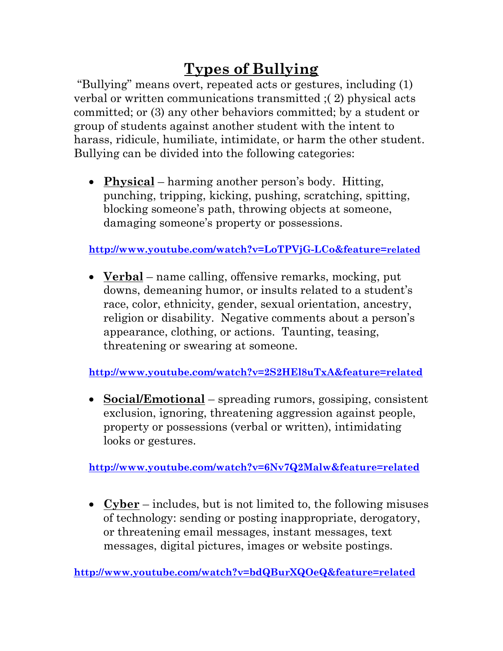## **Types of Bullying**

"Bullying" means overt, repeated acts or gestures, including (1) verbal or written communications transmitted ;( 2) physical acts committed; or (3) any other behaviors committed; by a student or group of students against another student with the intent to harass, ridicule, humiliate, intimidate, or harm the other student. Bullying can be divided into the following categories:

• **Physical** – harming another person's body. Hitting, punching, tripping, kicking, pushing, scratching, spitting, blocking someone's path, throwing objects at someone, damaging someone's property or possessions.

**<http://www.youtube.com/watch?v=LoTPVjG-LCo&feature=related>**

• **Verbal** – name calling, offensive remarks, mocking, put downs, demeaning humor, or insults related to a student's race, color, ethnicity, gender, sexual orientation, ancestry, religion or disability. Negative comments about a person's appearance, clothing, or actions. Taunting, teasing, threatening or swearing at someone.

**<http://www.youtube.com/watch?v=2S2HEl8uTxA&feature=related>**

• **Social/Emotional** – spreading rumors, gossiping, consistent exclusion, ignoring, threatening aggression against people, property or possessions (verbal or written), intimidating looks or gestures.

**<http://www.youtube.com/watch?v=6Nv7Q2Malw&feature=related>**

• **Cyber** – includes, but is not limited to, the following misuses of technology: sending or posting inappropriate, derogatory, or threatening email messages, instant messages, text messages, digital pictures, images or website postings.

**<http://www.youtube.com/watch?v=bdQBurXQOeQ&feature=related>**